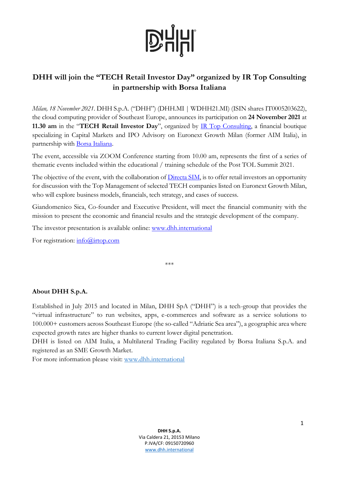## **D'HHI**

### **DHH will join the "TECH Retail Investor Day" organized by IR Top Consulting in partnership with Borsa Italiana**

*Milan, 18 November 2021*. DHH S.p.A. ("DHH") (DHH.MI | WDHH21.MI) (ISIN shares IT0005203622), the cloud computing provider of Southeast Europe, announces its participation on **24 November 2021** at **11.30 am** in the "**TECH Retail Investor Day**", organized by [IR Top Consulting,](https://www.irtop.com/) a financial boutique specializing in Capital Markets and IPO Advisory on Euronext Growth Milan (former AIM Italia), in partnership with [Borsa Italiana.](http://www.borsaitaliana.it/)

The event, accessible via ZOOM Conference starting from 10.00 am, represents the first of a series of thematic events included within the educational / training schedule of the Post TOL Summit 2021.

The objective of the event, with the collaboration of [Directa SIM,](http://www.directa.it/) is to offer retail investors an opportunity for discussion with the Top Management of selected TECH companies listed on Euronext Growth Milan, who will explore business models, financials, tech strategy, and cases of success.

Giandomenico Sica, Co-founder and Executive President, will meet the financial community with the mission to present the economic and financial results and the strategic development of the company.

The investor presentation is available online: [www.dhh.international](http://www.dhh.international/)

For registration: [info@irtop.com](mailto:info@irtop.com)

\*\*\*

#### **About DHH S.p.A.**

Established in July 2015 and located in Milan, DHH SpA ("DHH") is a tech-group that provides the "virtual infrastructure" to run websites, apps, e-commerces and software as a service solutions to 100.000+ customers across Southeast Europe (the so-called "Adriatic Sea area"), a geographic area where expected growth rates are higher thanks to current lower digital penetration.

DHH is listed on AIM Italia, a Multilateral Trading Facility regulated by Borsa Italiana S.p.A. and registered as an SME Growth Market.

For more information please visit: [www.dhh.international](http://www.dhh.international/)